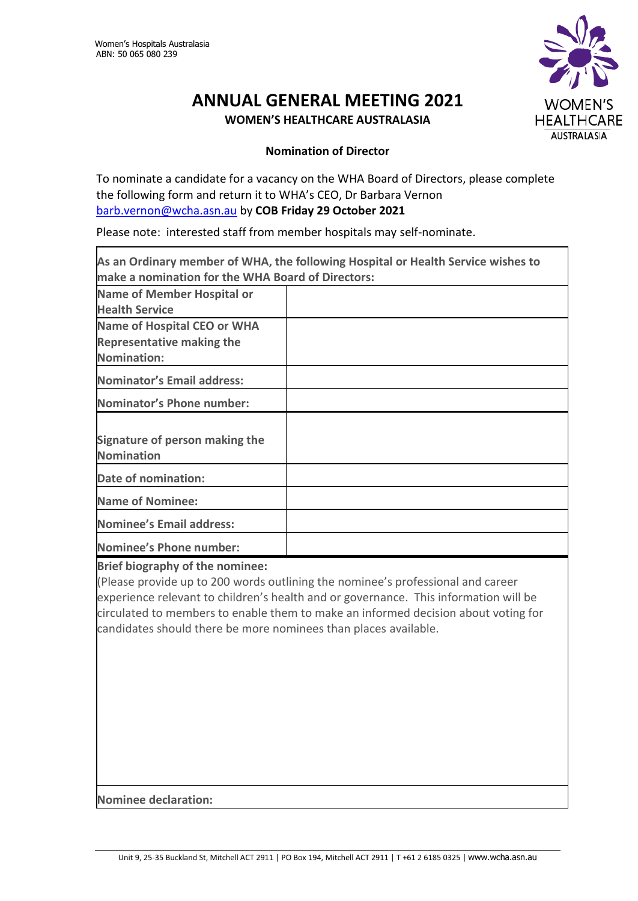

## **ANNUAL GENERAL MEETING 2021 WOMEN'S HEALTHCARE AUSTRALASIA**

## **Nomination of Director**

To nominate a candidate for a vacancy on the WHA Board of Directors, please complete the following form and return it to WHA's CEO, Dr Barbara Vernon [barb.vernon@wcha.asn.au](mailto:barb.vernon@wcha.asn.au) by **COB Friday 29 October 2021**

Please note: interested staff from member hospitals may self-nominate.

| As an Ordinary member of WHA, the following Hospital or Health Service wishes to |  |  |
|----------------------------------------------------------------------------------|--|--|
| make a nomination for the WHA Board of Directors:                                |  |  |
| <b>Name of Member Hospital or</b>                                                |  |  |
| <b>Health Service</b>                                                            |  |  |
| Name of Hospital CEO or WHA                                                      |  |  |
| <b>Representative making the</b>                                                 |  |  |
| Nomination:                                                                      |  |  |
| <b>Nominator's Email address:</b>                                                |  |  |
| <b>Nominator's Phone number:</b>                                                 |  |  |
|                                                                                  |  |  |
| Signature of person making the                                                   |  |  |
| <b>Nomination</b>                                                                |  |  |
| Date of nomination:                                                              |  |  |
| Name of Nominee:                                                                 |  |  |
| Nominee's Email address:                                                         |  |  |
| Nominee's Phone number:                                                          |  |  |

**Brief biography of the nominee:**

(Please provide up to 200 words outlining the nominee's professional and career experience relevant to children's health and or governance. This information will be circulated to members to enable them to make an informed decision about voting for candidates should there be more nominees than places available.

**Nominee declaration:**